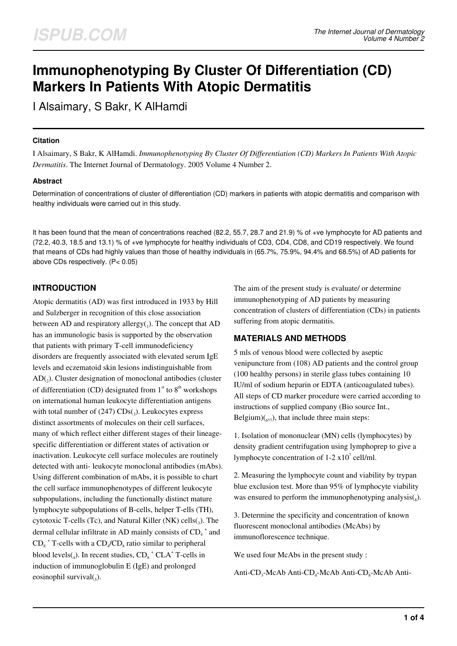# **Immunophenotyping By Cluster Of Differentiation (CD) Markers In Patients With Atopic Dermatitis**

I Alsaimary, S Bakr, K AlHamdi

# **Citation**

I Alsaimary, S Bakr, K AlHamdi. *Immunophenotyping By Cluster Of Differentiation (CD) Markers In Patients With Atopic Dermatitis*. The Internet Journal of Dermatology. 2005 Volume 4 Number 2.

# **Abstract**

Determination of concentrations of cluster of differentiation (CD) markers in patients with atopic dermatitis and comparison with healthy individuals were carried out in this study.

It has been found that the mean of concentrations reached (82.2, 55.7, 28.7 and 21.9) % of +ve lymphocyte for AD patients and (72.2, 40.3, 18.5 and 13.1) % of +ve lymphocyte for healthy individuals of CD3, CD4, CD8, and CD19 respectively. We found that means of CDs had highly values than those of healthy individuals in (65.7%, 75.9%, 94.4% and 68.5%) of AD patients for above CDs respectively. (P< 0.05)

# **INTRODUCTION**

Atopic dermatitis (AD) was first introduced in 1933 by Hill and Sulzberger in recognition of this close association between AD and respiratory allergy $(j)$ . The concept that AD has an immunologic basis is supported by the observation that patients with primary T-cell immunodeficiency disorders are frequently associated with elevated serum IgE levels and eczematoid skin lesions indistinguishable from  $AD(2)$ . Cluster designation of monoclonal antibodies (cluster of differentiation (CD) designated from  $1<sup>st</sup>$  to  $8<sup>th</sup>$  workshops on international human leukocyte differentiation antigens with total number of  $(247)$  CDs $_{(3)}$ . Leukocytes express distinct assortments of molecules on their cell surfaces, many of which reflect either different stages of their lineagespecific differentiation or different states of activation or inactivation. Leukocyte cell surface molecules are routinely detected with anti- leukocyte monoclonal antibodies (mAbs). Using different combination of mAbs, it is possible to chart the cell surface immunophenotypes of different leukocyte subpopulations, including the functionally distinct mature lymphocyte subpopulations of B-cells, helper T-ells (TH), cytotoxic T-cells (Tc), and Natural Killer (NK) cells $_{(3)}$ . The dermal cellular infiltrate in AD mainly consists of  $CD_4^+$  and  $CD_8$ <sup>+</sup> T-cells with a  $CD_4/CD_8$  ratio similar to peripheral blood levels $_{(4)}$ . In recent studies,  $CD_8^+$ CLA<sup>+</sup> T-cells in induction of immunoglobulin E (IgE) and prolonged eosinophil survival $(_{5})$ .

The aim of the present study is evaluate/ or determine immunophenotyping of AD patients by measuring concentration of clusters of differentiation (CDs) in patients suffering from atopic dermatitis.

# **MATERIALS AND METHODS**

5 mls of venous blood were collected by aseptic venipuncture from (108) AD patients and the control group (100 healthy persons) in sterile glass tubes containing 10 IU/ml of sodium heparin or EDTA (anticoagulated tubes). All steps of CD marker procedure were carried according to instructions of supplied company (Bio source Int., Belgium) $\binom{6}{7}$ , that include three main steps:

1. Isolation of mononuclear (MN) cells (lymphocytes) by density gradient centrifugation using lymphoprep to give a lymphocyte concentration of  $1-2 \times 10^7$  cell/ml.

2. Measuring the lymphocyte count and viability by trypan blue exclusion test. More than 95% of lymphocyte viability was ensured to perform the immunophenotyping analysis $(s)$ .

3. Determine the specificity and concentration of known fluorescent monoclonal antibodies (McAbs) by immunoflorescence technique.

We used four McAbs in the present study :

Anti- $CD_3$ -McAb Anti- $CD_4$ -McAb Anti- $CD_8$ -McAb Anti-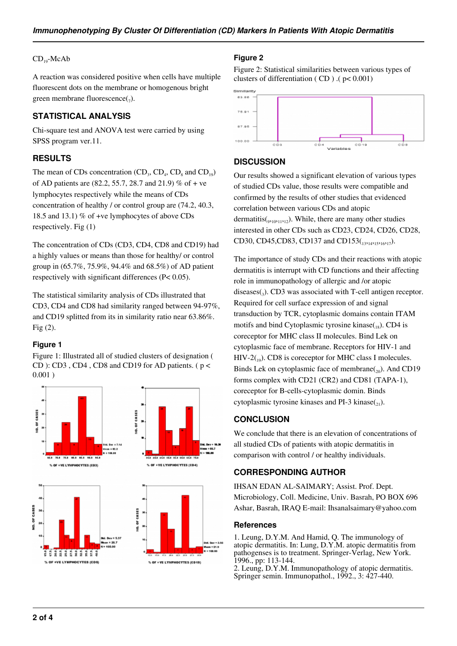#### $CD_{19}$ -McAb

A reaction was considered positive when cells have multiple fluorescent dots on the membrane or homogenous bright green membrane fluorescence( $_7$ ).

# **STATISTICAL ANALYSIS**

Chi-square test and ANOVA test were carried by using SPSS program ver.11.

# **RESULTS**

The mean of CDs concentration  $(CD_3, CD_4, CD_8$  and  $CD_{19}$ ) of AD patients are (82.2, 55.7, 28.7 and 21.9) % of + ve lymphocytes respectively while the means of CDs concentration of healthy / or control group are (74.2, 40.3, 18.5 and 13.1) % of +ve lymphocytes of above CDs respectively. Fig (1)

The concentration of CDs (CD3, CD4, CD8 and CD19) had a highly values or means than those for healthy/ or control group in (65.7%, 75.9%, 94.4% and 68.5%) of AD patient respectively with significant differences (P< 0.05).

The statistical similarity analysis of CDs illustrated that CD3, CD4 and CD8 had similarity ranged between 94-97%, and CD19 splitted from its in similarity ratio near 63.86%. Fig (2).

#### **Figure 1**

Figure 1: Illustrated all of studied clusters of designation ( CD ): CD3 , CD4 , CD8 and CD19 for AD patients. ( $p <$ 0.001 )



#### **Figure 2**

Figure 2: Statistical similarities between various types of clusters of differentiation ( CD ) .( p< 0.001)



### **DISCUSSION**

Our results showed a significant elevation of various types of studied CDs value, those results were compatible and confirmed by the results of other studies that evidenced correlation between various CDs and atopic dermatitis( $_{9,10,11,12}$ ). While, there are many other studies interested in other CDs such as CD23, CD24, CD26, CD28, CD30, CD45, CD83, CD137 and CD153(13,14,15,16,17).

The importance of study CDs and their reactions with atopic dermatitis is interrupt with CD functions and their affecting role in immunopathology of allergic and /or atopic diseases(3). CD3 was associated with T-cell antigen receptor. Required for cell surface expression of and signal transduction by TCR, cytoplasmic domains contain ITAM motifs and bind Cytoplasmic tyrosine kinase $_{18}$ ). CD4 is coreceptor for MHC class II molecules. Bind Lek on cytoplasmic face of membrane. Receptors for HIV-1 and  $HIV-2(19)$ . CD8 is coreceptor for MHC class I molecules. Binds Lek on cytoplasmic face of membrane( $_{20}$ ). And CD19 forms complex with CD21 (CR2) and CD81 (TAPA-1), coreceptor for B-cells-cytoplasmic domin. Binds cytoplasmic tyrosine kinases and PI-3 kinase $_{21}$ ).

# **CONCLUSION**

We conclude that there is an elevation of concentrations of all studied CDs of patients with atopic dermatitis in comparison with control / or healthy individuals.

### **CORRESPONDING AUTHOR**

IHSAN EDAN AL-SAIMARY; Assist. Prof. Dept. Microbiology, Coll. Medicine, Univ. Basrah, PO BOX 696 Ashar, Basrah, IRAQ E-mail: Ihsanalsaimary@yahoo.com

#### **References**

1. Leung, D.Y.M. And Hamid, Q. The immunology of atopic dermatitis. In: Lung, D.Y.M. atopic dermatitis from pathogenses is to treatment. Springer-Verlag, New York. 1996., pp: 113-144.

2. Leung, D.Y.M. Immunopathology of atopic dermatitis. Springer semin. Immunopathol., 1992., 3: 427-440.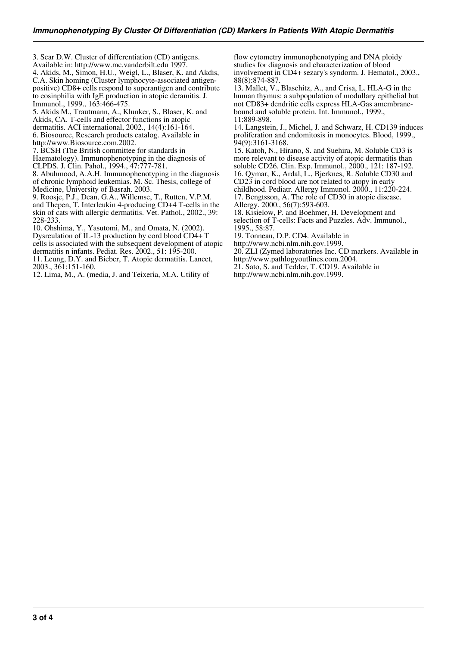3. Sear D.W. Cluster of differentiation (CD) antigens. Available in: http://www.mc.vanderbilt.edu 1997.

4. Akids, M., Simon, H.U., Weigl, L., Blaser, K. and Akdis, C.A. Skin homing (Cluster lymphocyte-associated antigenpositive) CD8+ cells respond to superantigen and contribute to eosinphilia with IgE production in atopic deramitis. J. Immunol., 1999., 163:466-475.

5. Akids M., Trautmann, A., Klunker, S., Blaser, K. and

Akids, CA. T-cells and effector functions in atopic

dermatitis. ACI international, 2002., 14(4):161-164.

6. Biosource, Research products catalog. Available in

http://www.Biosource.com.2002.

7. BCSH (The British committee for standards in Haematology). Immunophenotyping in the diagnosis of

CLPDS. J. Clin. Pahol., 1994., 47:777-781.

8. Abuhmood, A.A.H. Immunophenotyping in the diagnosis of chronic lymphoid leukemias. M. Sc. Thesis, college of Medicine, University of Basrah. 2003.

9. Roosje, P.J., Dean, G.A., Willemse, T., Rutten, V.P.M. and Thepen, T. Interleukin 4-producing CD+4 T-cells in the skin of cats with allergic dermatitis. Vet. Pathol., 2002., 39: 228-233.

10. Ohshima, Y., Yasutomi, M., and Omata, N. (2002).

Dysreulation of IL-13 production by cord blood CD4+ T

cells is associated with the subsequent development of atopic

dermatitis n infants. Pediat. Res. 2002., 51: 195-200. 11. Leung, D.Y. and Bieber, T. Atopic dermatitis. Lancet, 2003., 361:151-160.

12. Lima, M., A. (media, J. and Teixeria, M.A. Utility of

flow cytometry immunophenotyping and DNA ploidy studies for diagnosis and characterization of blood involvement in CD4+ sezary's syndorm. J. Hematol., 2003., 88(8):874-887.

13. Mallet, V., Blaschitz, A., and Crisa, L. HLA-G in the human thymus: a subpopulation of modullary epithelial but not CD83+ dendritic cells express HLA-Gas amembranebound and soluble protein. Int. Immunol., 1999., 11:889-898.

14. Langstein, J., Michel, J. and Schwarz, H. CD139 induces proliferation and endomitosis in monocytes. Blood, 1999., 94(9):3161-3168.

15. Katoh, N., Hirano, S. and Suehira, M. Soluble CD3 is more relevant to disease activity of atopic dermatitis than soluble CD26. Clin. Exp. Immunol., 2000., 121: 187-192. 16. Qymar, K., Ardal, L., Bjerknes, R. Soluble CD30 and

CD23 in cord blood are not related to atopy in early

childhood. Pediatr. Allergy Immunol. 2000., 11:220-224. 17. Bengtsson, A. The role of CD30 in atopic disease.

Allergy. 2000., 56(7):593-603.

18. Kisielow, P. and Boehmer, H. Development and selection of T-cells: Facts and Puzzles. Adv. Immunol., 1995., 58:87.

19. Tonneau, D.P. CD4. Available in

http://www.ncbi.nlm.nih.gov.1999.

20. ZLI (Zymed laboratories Inc. CD markers. Available in http://www.pathlogyoutlines.com.2004.

- 21. Sato, S. and Tedder, T. CD19. Available in
- http://www.ncbi.nlm.nih.gov.1999.